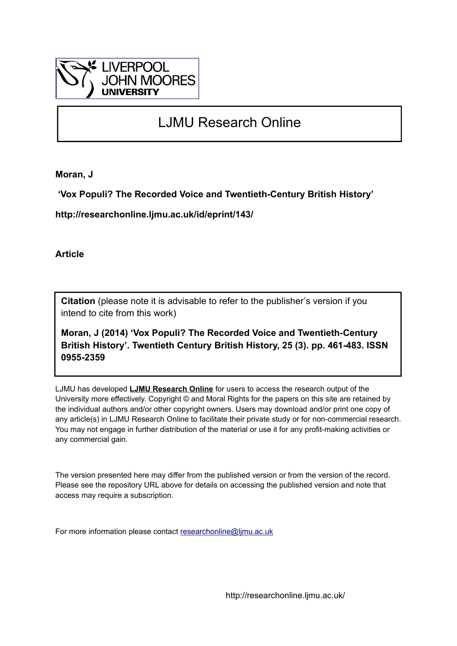

# LJMU Research Online

**Moran, J**

 **'Vox Populi? The Recorded Voice and Twentieth-Century British History'**

**http://researchonline.ljmu.ac.uk/id/eprint/143/**

**Article**

**Citation** (please note it is advisable to refer to the publisher's version if you intend to cite from this work)

**Moran, J (2014) 'Vox Populi? The Recorded Voice and Twentieth-Century British History'. Twentieth Century British History, 25 (3). pp. 461-483. ISSN 0955-2359** 

LJMU has developed **[LJMU Research Online](http://researchonline.ljmu.ac.uk/)** for users to access the research output of the University more effectively. Copyright © and Moral Rights for the papers on this site are retained by the individual authors and/or other copyright owners. Users may download and/or print one copy of any article(s) in LJMU Research Online to facilitate their private study or for non-commercial research. You may not engage in further distribution of the material or use it for any profit-making activities or any commercial gain.

The version presented here may differ from the published version or from the version of the record. Please see the repository URL above for details on accessing the published version and note that access may require a subscription.

For more information please contact [researchonline@ljmu.ac.uk](mailto:researchonline@ljmu.ac.uk)

http://researchonline.ljmu.ac.uk/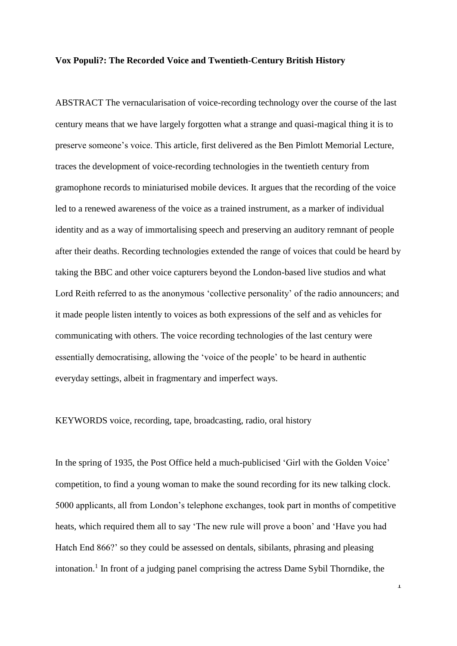## **Vox Populi?: The Recorded Voice and Twentieth-Century British History**

ABSTRACT The vernacularisation of voice-recording technology over the course of the last century means that we have largely forgotten what a strange and quasi-magical thing it is to preserve someone's voice. This article, first delivered as the Ben Pimlott Memorial Lecture, traces the development of voice-recording technologies in the twentieth century from gramophone records to miniaturised mobile devices. It argues that the recording of the voice led to a renewed awareness of the voice as a trained instrument, as a marker of individual identity and as a way of immortalising speech and preserving an auditory remnant of people after their deaths. Recording technologies extended the range of voices that could be heard by taking the BBC and other voice capturers beyond the London-based live studios and what Lord Reith referred to as the anonymous 'collective personality' of the radio announcers; and it made people listen intently to voices as both expressions of the self and as vehicles for communicating with others. The voice recording technologies of the last century were essentially democratising, allowing the 'voice of the people' to be heard in authentic everyday settings, albeit in fragmentary and imperfect ways.

KEYWORDS voice, recording, tape, broadcasting, radio, oral history

In the spring of 1935, the Post Office held a much-publicised 'Girl with the Golden Voice' competition, to find a young woman to make the sound recording for its new talking clock. 5000 applicants, all from London's telephone exchanges, took part in months of competitive heats, which required them all to say 'The new rule will prove a boon' and 'Have you had Hatch End 866?' so they could be assessed on dentals, sibilants, phrasing and pleasing intonation.<sup>1</sup> In front of a judging panel comprising the actress Dame Sybil Thorndike, the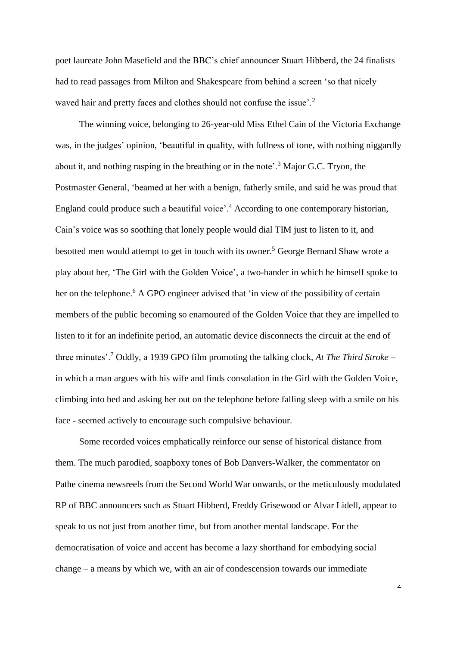poet laureate John Masefield and the BBC's chief announcer Stuart Hibberd, the 24 finalists had to read passages from Milton and Shakespeare from behind a screen 'so that nicely waved hair and pretty faces and clothes should not confuse the issue'.<sup>2</sup>

The winning voice, belonging to 26-year-old Miss Ethel Cain of the Victoria Exchange was, in the judges' opinion, 'beautiful in quality, with fullness of tone, with nothing niggardly about it, and nothing rasping in the breathing or in the note'.<sup>3</sup> Major G.C. Tryon, the Postmaster General, 'beamed at her with a benign, fatherly smile, and said he was proud that England could produce such a beautiful voice'.<sup>4</sup> According to one contemporary historian, Cain's voice was so soothing that lonely people would dial TIM just to listen to it, and besotted men would attempt to get in touch with its owner. <sup>5</sup> George Bernard Shaw wrote a play about her, 'The Girl with the Golden Voice', a two-hander in which he himself spoke to her on the telephone.<sup>6</sup> A GPO engineer advised that 'in view of the possibility of certain members of the public becoming so enamoured of the Golden Voice that they are impelled to listen to it for an indefinite period, an automatic device disconnects the circuit at the end of three minutes'.<sup>7</sup> Oddly, a 1939 GPO film promoting the talking clock, *At The Third Stroke* – in which a man argues with his wife and finds consolation in the Girl with the Golden Voice, climbing into bed and asking her out on the telephone before falling sleep with a smile on his face - seemed actively to encourage such compulsive behaviour.

Some recorded voices emphatically reinforce our sense of historical distance from them. The much parodied, soapboxy tones of Bob Danvers-Walker, the commentator on Pathe cinema newsreels from the Second World War onwards, or the meticulously modulated RP of BBC announcers such as Stuart Hibberd, Freddy Grisewood or Alvar Lidell, appear to speak to us not just from another time, but from another mental landscape. For the democratisation of voice and accent has become a lazy shorthand for embodying social change – a means by which we, with an air of condescension towards our immediate

 $\lambda$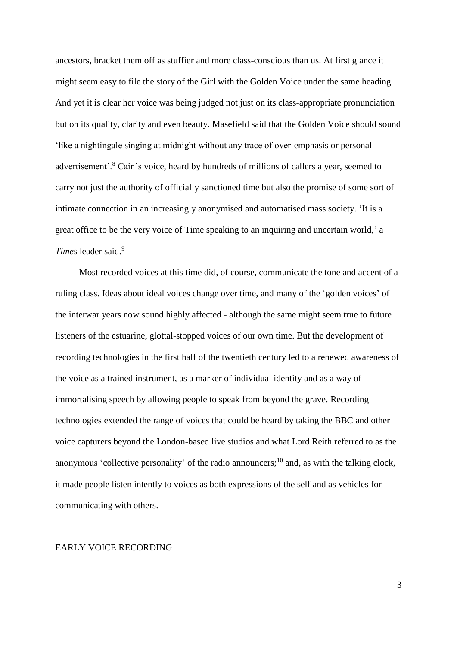ancestors, bracket them off as stuffier and more class-conscious than us. At first glance it might seem easy to file the story of the Girl with the Golden Voice under the same heading. And yet it is clear her voice was being judged not just on its class-appropriate pronunciation but on its quality, clarity and even beauty. Masefield said that the Golden Voice should sound 'like a nightingale singing at midnight without any trace of over-emphasis or personal advertisement'.<sup>8</sup> Cain's voice, heard by hundreds of millions of callers a year, seemed to carry not just the authority of officially sanctioned time but also the promise of some sort of intimate connection in an increasingly anonymised and automatised mass society. 'It is a great office to be the very voice of Time speaking to an inquiring and uncertain world,' a *Times* leader said.<sup>9</sup>

Most recorded voices at this time did, of course, communicate the tone and accent of a ruling class. Ideas about ideal voices change over time, and many of the 'golden voices' of the interwar years now sound highly affected - although the same might seem true to future listeners of the estuarine, glottal-stopped voices of our own time. But the development of recording technologies in the first half of the twentieth century led to a renewed awareness of the voice as a trained instrument, as a marker of individual identity and as a way of immortalising speech by allowing people to speak from beyond the grave. Recording technologies extended the range of voices that could be heard by taking the BBC and other voice capturers beyond the London-based live studios and what Lord Reith referred to as the anonymous 'collective personality' of the radio announcers;<sup>10</sup> and, as with the talking clock, it made people listen intently to voices as both expressions of the self and as vehicles for communicating with others.

## EARLY VOICE RECORDING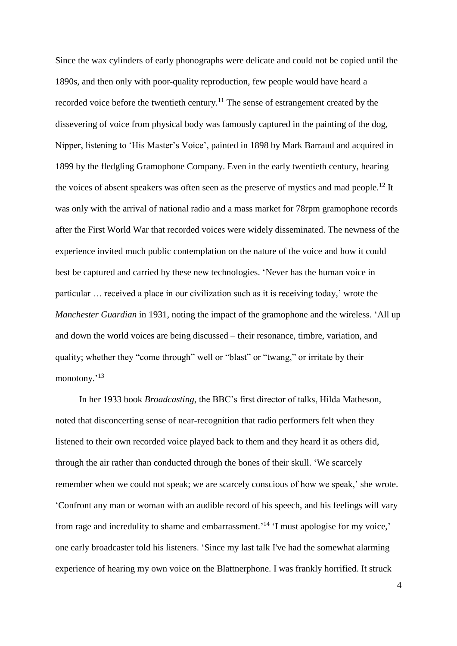Since the wax cylinders of early phonographs were delicate and could not be copied until the 1890s, and then only with poor-quality reproduction, few people would have heard a recorded voice before the twentieth century.<sup>11</sup> The sense of estrangement created by the dissevering of voice from physical body was famously captured in the painting of the dog, Nipper, listening to 'His Master's Voice', painted in 1898 by Mark Barraud and acquired in 1899 by the fledgling Gramophone Company. Even in the early twentieth century, hearing the voices of absent speakers was often seen as the preserve of mystics and mad people.<sup>12</sup> It was only with the arrival of national radio and a mass market for 78rpm gramophone records after the First World War that recorded voices were widely disseminated. The newness of the experience invited much public contemplation on the nature of the voice and how it could best be captured and carried by these new technologies. 'Never has the human voice in particular … received a place in our civilization such as it is receiving today,' wrote the *Manchester Guardian* in 1931, noting the impact of the gramophone and the wireless. 'All up and down the world voices are being discussed – their resonance, timbre, variation, and quality; whether they "come through" well or "blast" or "twang," or irritate by their monotony.'<sup>13</sup>

In her 1933 book *Broadcasting*, the BBC's first director of talks, Hilda Matheson, noted that disconcerting sense of near-recognition that radio performers felt when they listened to their own recorded voice played back to them and they heard it as others did, through the air rather than conducted through the bones of their skull. 'We scarcely remember when we could not speak; we are scarcely conscious of how we speak,' she wrote. 'Confront any man or woman with an audible record of his speech, and his feelings will vary from rage and incredulity to shame and embarrassment.<sup>'14</sup> 'I must apologise for my voice,' one early broadcaster told his listeners. 'Since my last talk I've had the somewhat alarming experience of hearing my own voice on the Blattnerphone. I was frankly horrified. It struck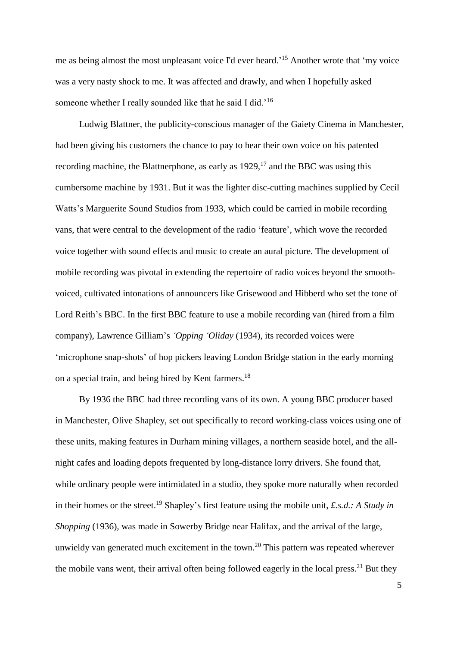me as being almost the most unpleasant voice I'd ever heard.<sup>15</sup> Another wrote that 'my voice was a very nasty shock to me. It was affected and drawly, and when I hopefully asked someone whether I really sounded like that he said I did.<sup>'16</sup>

Ludwig Blattner, the publicity-conscious manager of the Gaiety Cinema in Manchester, had been giving his customers the chance to pay to hear their own voice on his patented recording machine, the Blattnerphone, as early as  $1929$ ,<sup>17</sup> and the BBC was using this cumbersome machine by 1931. But it was the lighter disc-cutting machines supplied by Cecil Watts's Marguerite Sound Studios from 1933, which could be carried in mobile recording vans, that were central to the development of the radio 'feature', which wove the recorded voice together with sound effects and music to create an aural picture. The development of mobile recording was pivotal in extending the repertoire of radio voices beyond the smoothvoiced, cultivated intonations of announcers like Grisewood and Hibberd who set the tone of Lord Reith's BBC. In the first BBC feature to use a mobile recording van (hired from a film company), Lawrence Gilliam's *'Opping 'Oliday* (1934), its recorded voices were 'microphone snap-shots' of hop pickers leaving London Bridge station in the early morning on a special train, and being hired by Kent farmers.<sup>18</sup>

By 1936 the BBC had three recording vans of its own. A young BBC producer based in Manchester, Olive Shapley, set out specifically to record working-class voices using one of these units, making features in Durham mining villages, a northern seaside hotel, and the allnight cafes and loading depots frequented by long-distance lorry drivers. She found that, while ordinary people were intimidated in a studio, they spoke more naturally when recorded in their homes or the street.<sup>19</sup> Shapley's first feature using the mobile unit, *£.s.d.: A Study in Shopping* (1936), was made in Sowerby Bridge near Halifax, and the arrival of the large, unwieldy van generated much excitement in the town.<sup>20</sup> This pattern was repeated wherever the mobile vans went, their arrival often being followed eagerly in the local press.<sup>21</sup> But they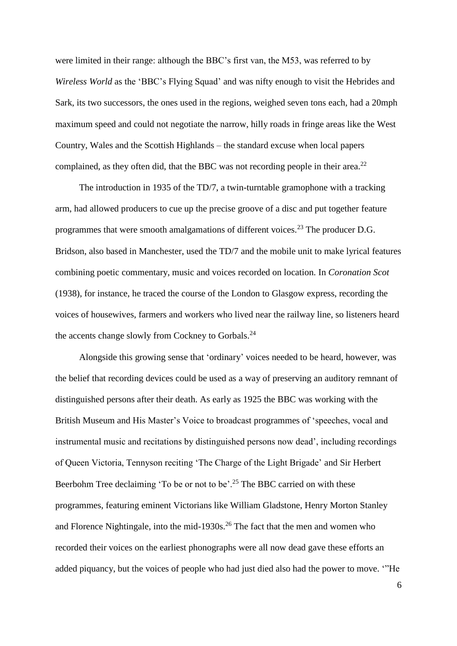were limited in their range: although the BBC's first van, the M53, was referred to by *Wireless World* as the 'BBC's Flying Squad' and was nifty enough to visit the Hebrides and Sark, its two successors, the ones used in the regions, weighed seven tons each, had a 20mph maximum speed and could not negotiate the narrow, hilly roads in fringe areas like the West Country, Wales and the Scottish Highlands – the standard excuse when local papers complained, as they often did, that the BBC was not recording people in their area.<sup>22</sup>

The introduction in 1935 of the TD/7, a twin-turntable gramophone with a tracking arm, had allowed producers to cue up the precise groove of a disc and put together feature programmes that were smooth amalgamations of different voices.<sup>23</sup> The producer D.G. Bridson, also based in Manchester, used the TD/7 and the mobile unit to make lyrical features combining poetic commentary, music and voices recorded on location. In *Coronation Scot*  (1938), for instance, he traced the course of the London to Glasgow express, recording the voices of housewives, farmers and workers who lived near the railway line, so listeners heard the accents change slowly from Cockney to Gorbals.<sup>24</sup>

Alongside this growing sense that 'ordinary' voices needed to be heard, however, was the belief that recording devices could be used as a way of preserving an auditory remnant of distinguished persons after their death. As early as 1925 the BBC was working with the British Museum and His Master's Voice to broadcast programmes of 'speeches, vocal and instrumental music and recitations by distinguished persons now dead', including recordings of Queen Victoria, Tennyson reciting 'The Charge of the Light Brigade' and Sir Herbert Beerbohm Tree declaiming 'To be or not to be'.<sup>25</sup> The BBC carried on with these programmes, featuring eminent Victorians like William Gladstone, Henry Morton Stanley and Florence Nightingale, into the mid-1930s.<sup>26</sup> The fact that the men and women who recorded their voices on the earliest phonographs were all now dead gave these efforts an added piquancy, but the voices of people who had just died also had the power to move. '"He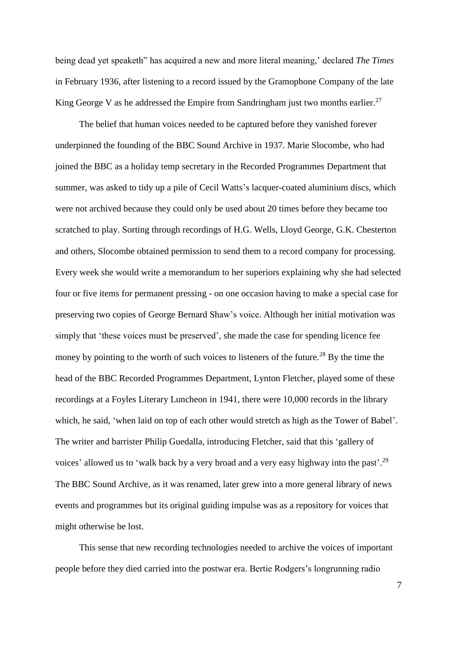being dead yet speaketh" has acquired a new and more literal meaning,' declared *The Times* in February 1936, after listening to a record issued by the Gramophone Company of the late King George V as he addressed the Empire from Sandringham just two months earlier.<sup>27</sup>

The belief that human voices needed to be captured before they vanished forever underpinned the founding of the BBC Sound Archive in 1937. Marie Slocombe, who had joined the BBC as a holiday temp secretary in the Recorded Programmes Department that summer, was asked to tidy up a pile of Cecil Watts's lacquer-coated aluminium discs, which were not archived because they could only be used about 20 times before they became too scratched to play. Sorting through recordings of H.G. Wells, Lloyd George, G.K. Chesterton and others, Slocombe obtained permission to send them to a record company for processing. Every week she would write a memorandum to her superiors explaining why she had selected four or five items for permanent pressing - on one occasion having to make a special case for preserving two copies of George Bernard Shaw's voice. Although her initial motivation was simply that 'these voices must be preserved', she made the case for spending licence fee money by pointing to the worth of such voices to listeners of the future.<sup>28</sup> By the time the head of the BBC Recorded Programmes Department, Lynton Fletcher, played some of these recordings at a Foyles Literary Luncheon in 1941, there were 10,000 records in the library which, he said, 'when laid on top of each other would stretch as high as the Tower of Babel'. The writer and barrister Philip Guedalla, introducing Fletcher, said that this 'gallery of voices' allowed us to 'walk back by a very broad and a very easy highway into the past'.<sup>29</sup> The BBC Sound Archive, as it was renamed, later grew into a more general library of news events and programmes but its original guiding impulse was as a repository for voices that might otherwise be lost.

This sense that new recording technologies needed to archive the voices of important people before they died carried into the postwar era. Bertie Rodgers's longrunning radio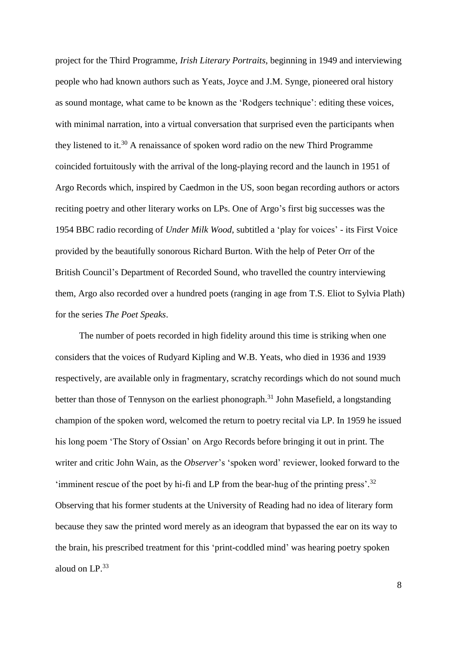project for the Third Programme, *Irish Literary Portraits*, beginning in 1949 and interviewing people who had known authors such as Yeats, Joyce and J.M. Synge, pioneered oral history as sound montage, what came to be known as the 'Rodgers technique': editing these voices, with minimal narration, into a virtual conversation that surprised even the participants when they listened to it.<sup>30</sup> A renaissance of spoken word radio on the new Third Programme coincided fortuitously with the arrival of the long-playing record and the launch in 1951 of Argo Records which, inspired by Caedmon in the US, soon began recording authors or actors reciting poetry and other literary works on LPs. One of Argo's first big successes was the 1954 BBC radio recording of *Under Milk Wood*, subtitled a 'play for voices' - its First Voice provided by the beautifully sonorous Richard Burton. With the help of Peter Orr of the British Council's Department of Recorded Sound, who travelled the country interviewing them, Argo also recorded over a hundred poets (ranging in age from T.S. Eliot to Sylvia Plath) for the series *The Poet Speaks*.

The number of poets recorded in high fidelity around this time is striking when one considers that the voices of Rudyard Kipling and W.B. Yeats, who died in 1936 and 1939 respectively, are available only in fragmentary, scratchy recordings which do not sound much better than those of Tennyson on the earliest phonograph.<sup>31</sup> John Masefield, a longstanding champion of the spoken word, welcomed the return to poetry recital via LP. In 1959 he issued his long poem 'The Story of Ossian' on Argo Records before bringing it out in print. The writer and critic John Wain, as the *Observer*'s 'spoken word' reviewer, looked forward to the 'imminent rescue of the poet by hi-fi and LP from the bear-hug of the printing press'.<sup>32</sup> Observing that his former students at the University of Reading had no idea of literary form because they saw the printed word merely as an ideogram that bypassed the ear on its way to the brain, his prescribed treatment for this 'print-coddled mind' was hearing poetry spoken aloud on LP. 33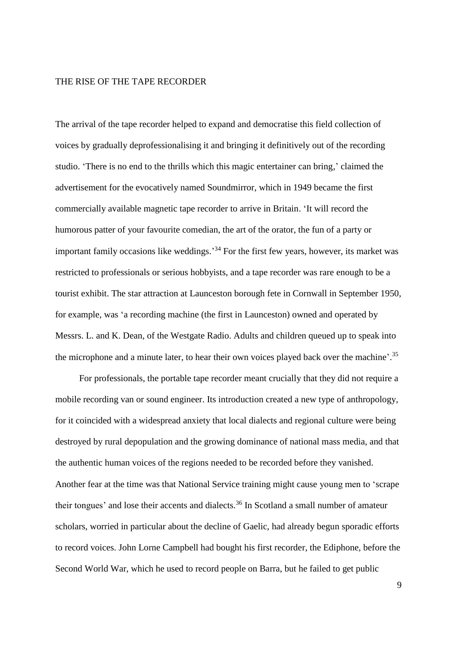# THE RISE OF THE TAPE RECORDER

The arrival of the tape recorder helped to expand and democratise this field collection of voices by gradually deprofessionalising it and bringing it definitively out of the recording studio. 'There is no end to the thrills which this magic entertainer can bring,' claimed the advertisement for the evocatively named Soundmirror, which in 1949 became the first commercially available magnetic tape recorder to arrive in Britain. 'It will record the humorous patter of your favourite comedian, the art of the orator, the fun of a party or important family occasions like weddings.<sup>34</sup> For the first few years, however, its market was restricted to professionals or serious hobbyists, and a tape recorder was rare enough to be a tourist exhibit. The star attraction at Launceston borough fete in Cornwall in September 1950, for example, was 'a recording machine (the first in Launceston) owned and operated by Messrs. L. and K. Dean, of the Westgate Radio. Adults and children queued up to speak into the microphone and a minute later, to hear their own voices played back over the machine'.<sup>35</sup>

For professionals, the portable tape recorder meant crucially that they did not require a mobile recording van or sound engineer. Its introduction created a new type of anthropology, for it coincided with a widespread anxiety that local dialects and regional culture were being destroyed by rural depopulation and the growing dominance of national mass media, and that the authentic human voices of the regions needed to be recorded before they vanished. Another fear at the time was that National Service training might cause young men to 'scrape their tongues' and lose their accents and dialects.<sup>36</sup> In Scotland a small number of amateur scholars, worried in particular about the decline of Gaelic, had already begun sporadic efforts to record voices. John Lorne Campbell had bought his first recorder, the Ediphone, before the Second World War, which he used to record people on Barra, but he failed to get public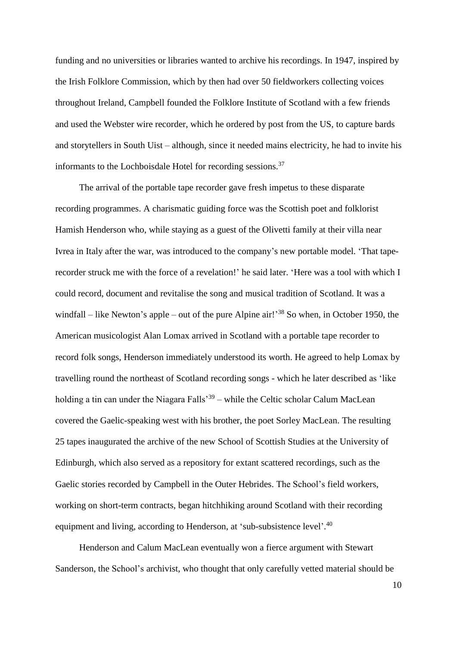funding and no universities or libraries wanted to archive his recordings. In 1947, inspired by the Irish Folklore Commission, which by then had over 50 fieldworkers collecting voices throughout Ireland, Campbell founded the Folklore Institute of Scotland with a few friends and used the Webster wire recorder, which he ordered by post from the US, to capture bards and storytellers in South Uist – although, since it needed mains electricity, he had to invite his informants to the Lochboisdale Hotel for recording sessions.<sup>37</sup>

The arrival of the portable tape recorder gave fresh impetus to these disparate recording programmes. A charismatic guiding force was the Scottish poet and folklorist Hamish Henderson who, while staying as a guest of the Olivetti family at their villa near Ivrea in Italy after the war, was introduced to the company's new portable model. 'That taperecorder struck me with the force of a revelation!' he said later. 'Here was a tool with which I could record, document and revitalise the song and musical tradition of Scotland. It was a windfall – like Newton's apple – out of the pure Alpine air!<sup>38</sup> So when, in October 1950, the American musicologist Alan Lomax arrived in Scotland with a portable tape recorder to record folk songs, Henderson immediately understood its worth. He agreed to help Lomax by travelling round the northeast of Scotland recording songs - which he later described as 'like holding a tin can under the Niagara Falls<sup>39</sup> – while the Celtic scholar Calum MacLean covered the Gaelic-speaking west with his brother, the poet Sorley MacLean. The resulting 25 tapes inaugurated the archive of the new School of Scottish Studies at the University of Edinburgh, which also served as a repository for extant scattered recordings, such as the Gaelic stories recorded by Campbell in the Outer Hebrides. The School's field workers, working on short-term contracts, began hitchhiking around Scotland with their recording equipment and living, according to Henderson, at 'sub-subsistence level'.<sup>40</sup>

Henderson and Calum MacLean eventually won a fierce argument with Stewart Sanderson, the School's archivist, who thought that only carefully vetted material should be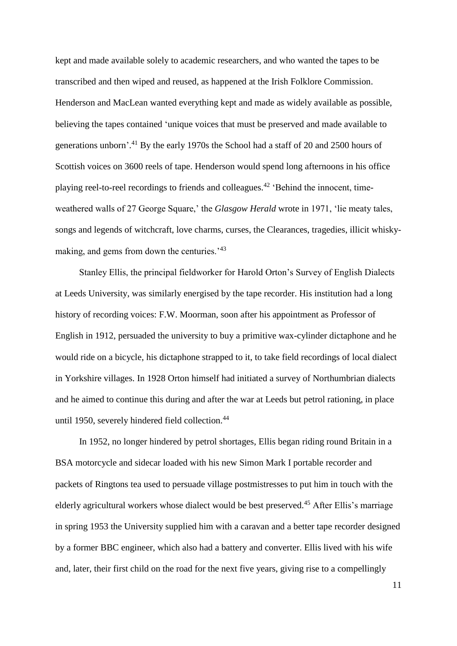kept and made available solely to academic researchers, and who wanted the tapes to be transcribed and then wiped and reused, as happened at the Irish Folklore Commission. Henderson and MacLean wanted everything kept and made as widely available as possible, believing the tapes contained 'unique voices that must be preserved and made available to generations unborn'. <sup>41</sup> By the early 1970s the School had a staff of 20 and 2500 hours of Scottish voices on 3600 reels of tape. Henderson would spend long afternoons in his office playing reel-to-reel recordings to friends and colleagues.<sup>42</sup> 'Behind the innocent, timeweathered walls of 27 George Square,' the *Glasgow Herald* wrote in 1971, 'lie meaty tales, songs and legends of witchcraft, love charms, curses, the Clearances, tragedies, illicit whiskymaking, and gems from down the centuries.<sup>'43</sup>

Stanley Ellis, the principal fieldworker for Harold Orton's Survey of English Dialects at Leeds University, was similarly energised by the tape recorder. His institution had a long history of recording voices: F.W. Moorman, soon after his appointment as Professor of English in 1912, persuaded the university to buy a primitive wax-cylinder dictaphone and he would ride on a bicycle, his dictaphone strapped to it, to take field recordings of local dialect in Yorkshire villages. In 1928 Orton himself had initiated a survey of Northumbrian dialects and he aimed to continue this during and after the war at Leeds but petrol rationing, in place until 1950, severely hindered field collection.<sup>44</sup>

In 1952, no longer hindered by petrol shortages, Ellis began riding round Britain in a BSA motorcycle and sidecar loaded with his new Simon Mark I portable recorder and packets of Ringtons tea used to persuade village postmistresses to put him in touch with the elderly agricultural workers whose dialect would be best preserved.<sup>45</sup> After Ellis's marriage in spring 1953 the University supplied him with a caravan and a better tape recorder designed by a former BBC engineer, which also had a battery and converter. Ellis lived with his wife and, later, their first child on the road for the next five years, giving rise to a compellingly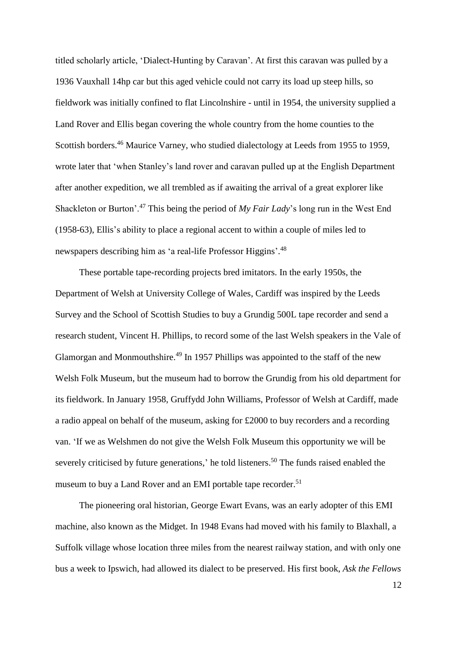titled scholarly article, 'Dialect-Hunting by Caravan'. At first this caravan was pulled by a 1936 Vauxhall 14hp car but this aged vehicle could not carry its load up steep hills, so fieldwork was initially confined to flat Lincolnshire - until in 1954, the university supplied a Land Rover and Ellis began covering the whole country from the home counties to the Scottish borders.<sup>46</sup> Maurice Varney, who studied dialectology at Leeds from 1955 to 1959, wrote later that 'when Stanley's land rover and caravan pulled up at the English Department after another expedition, we all trembled as if awaiting the arrival of a great explorer like Shackleton or Burton'.<sup>47</sup> This being the period of *My Fair Lady*'s long run in the West End (1958-63), Ellis's ability to place a regional accent to within a couple of miles led to newspapers describing him as 'a real-life Professor Higgins'.<sup>48</sup>

These portable tape-recording projects bred imitators. In the early 1950s, the Department of Welsh at University College of Wales, Cardiff was inspired by the Leeds Survey and the School of Scottish Studies to buy a Grundig 500L tape recorder and send a research student, Vincent H. Phillips, to record some of the last Welsh speakers in the Vale of Glamorgan and Monmouthshire.<sup>49</sup> In 1957 Phillips was appointed to the staff of the new Welsh Folk Museum, but the museum had to borrow the Grundig from his old department for its fieldwork. In January 1958, Gruffydd John Williams, Professor of Welsh at Cardiff, made a radio appeal on behalf of the museum, asking for £2000 to buy recorders and a recording van. 'If we as Welshmen do not give the Welsh Folk Museum this opportunity we will be severely criticised by future generations,' he told listeners.<sup>50</sup> The funds raised enabled the museum to buy a Land Rover and an EMI portable tape recorder.<sup>51</sup>

The pioneering oral historian, George Ewart Evans, was an early adopter of this EMI machine, also known as the Midget. In 1948 Evans had moved with his family to Blaxhall, a Suffolk village whose location three miles from the nearest railway station, and with only one bus a week to Ipswich, had allowed its dialect to be preserved. His first book, *Ask the Fellows*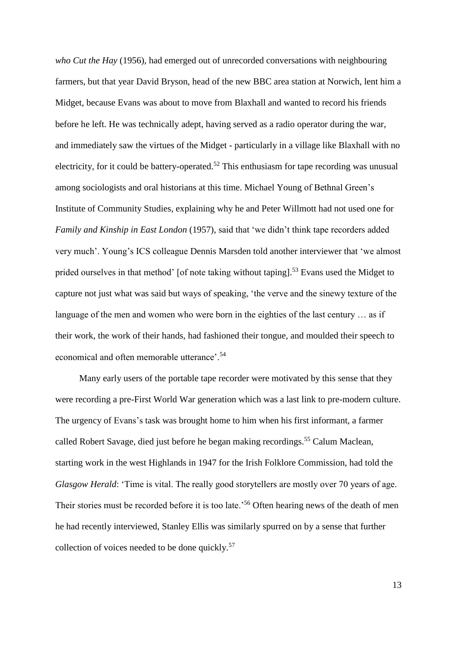*who Cut the Hay* (1956), had emerged out of unrecorded conversations with neighbouring farmers, but that year David Bryson, head of the new BBC area station at Norwich, lent him a Midget, because Evans was about to move from Blaxhall and wanted to record his friends before he left. He was technically adept, having served as a radio operator during the war, and immediately saw the virtues of the Midget - particularly in a village like Blaxhall with no electricity, for it could be battery-operated.<sup>52</sup> This enthusiasm for tape recording was unusual among sociologists and oral historians at this time. Michael Young of Bethnal Green's Institute of Community Studies, explaining why he and Peter Willmott had not used one for *Family and Kinship in East London* (1957), said that 'we didn't think tape recorders added very much'. Young's ICS colleague Dennis Marsden told another interviewer that 'we almost prided ourselves in that method' [of note taking without taping].<sup>53</sup> Evans used the Midget to capture not just what was said but ways of speaking, 'the verve and the sinewy texture of the language of the men and women who were born in the eighties of the last century … as if their work, the work of their hands, had fashioned their tongue, and moulded their speech to economical and often memorable utterance'.<sup>54</sup>

Many early users of the portable tape recorder were motivated by this sense that they were recording a pre-First World War generation which was a last link to pre-modern culture. The urgency of Evans's task was brought home to him when his first informant, a farmer called Robert Savage, died just before he began making recordings. <sup>55</sup> Calum Maclean, starting work in the west Highlands in 1947 for the Irish Folklore Commission, had told the *Glasgow Herald*: 'Time is vital. The really good storytellers are mostly over 70 years of age. Their stories must be recorded before it is too late.<sup>56</sup> Often hearing news of the death of men he had recently interviewed, Stanley Ellis was similarly spurred on by a sense that further collection of voices needed to be done quickly. $57$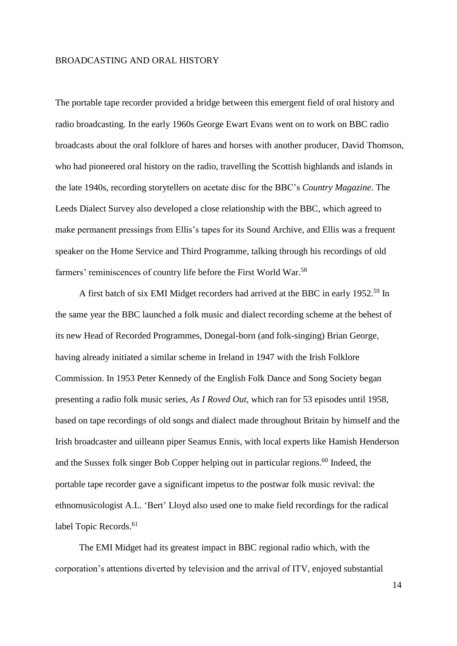#### BROADCASTING AND ORAL HISTORY

The portable tape recorder provided a bridge between this emergent field of oral history and radio broadcasting. In the early 1960s George Ewart Evans went on to work on BBC radio broadcasts about the oral folklore of hares and horses with another producer, David Thomson, who had pioneered oral history on the radio, travelling the Scottish highlands and islands in the late 1940s, recording storytellers on acetate disc for the BBC's *Country Magazine*. The Leeds Dialect Survey also developed a close relationship with the BBC, which agreed to make permanent pressings from Ellis's tapes for its Sound Archive, and Ellis was a frequent speaker on the Home Service and Third Programme, talking through his recordings of old farmers' reminiscences of country life before the First World War.<sup>58</sup>

A first batch of six EMI Midget recorders had arrived at the BBC in early 1952.<sup>59</sup> In the same year the BBC launched a folk music and dialect recording scheme at the behest of its new Head of Recorded Programmes, Donegal-born (and folk-singing) Brian George, having already initiated a similar scheme in Ireland in 1947 with the Irish Folklore Commission. In 1953 Peter Kennedy of the English Folk Dance and Song Society began presenting a radio folk music series, *As I Roved Out*, which ran for 53 episodes until 1958, based on tape recordings of old songs and dialect made throughout Britain by himself and the Irish broadcaster and uilleann piper Seamus Ennis, with local experts like Hamish Henderson and the Sussex folk singer Bob Copper helping out in particular regions. <sup>60</sup> Indeed, the portable tape recorder gave a significant impetus to the postwar folk music revival: the ethnomusicologist A.L. 'Bert' Lloyd also used one to make field recordings for the radical label Topic Records.<sup>61</sup>

The EMI Midget had its greatest impact in BBC regional radio which, with the corporation's attentions diverted by television and the arrival of ITV, enjoyed substantial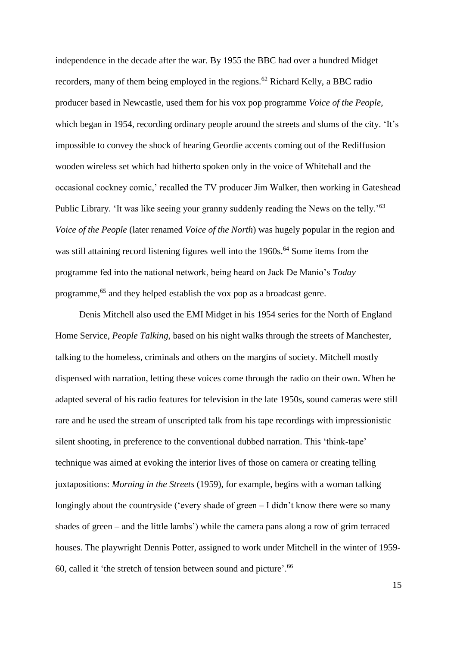independence in the decade after the war. By 1955 the BBC had over a hundred Midget recorders, many of them being employed in the regions.<sup>62</sup> Richard Kelly, a BBC radio producer based in Newcastle, used them for his vox pop programme *Voice of the People*, which began in 1954, recording ordinary people around the streets and slums of the city. 'It's impossible to convey the shock of hearing Geordie accents coming out of the Rediffusion wooden wireless set which had hitherto spoken only in the voice of Whitehall and the occasional cockney comic,' recalled the TV producer Jim Walker, then working in Gateshead Public Library. 'It was like seeing your granny suddenly reading the News on the telly.'<sup>63</sup> *Voice of the People* (later renamed *Voice of the North*) was hugely popular in the region and was still attaining record listening figures well into the 1960s.<sup>64</sup> Some items from the programme fed into the national network, being heard on Jack De Manio's *Today* programme, <sup>65</sup> and they helped establish the vox pop as a broadcast genre.

Denis Mitchell also used the EMI Midget in his 1954 series for the North of England Home Service, *People Talking*, based on his night walks through the streets of Manchester, talking to the homeless, criminals and others on the margins of society. Mitchell mostly dispensed with narration, letting these voices come through the radio on their own. When he adapted several of his radio features for television in the late 1950s, sound cameras were still rare and he used the stream of unscripted talk from his tape recordings with impressionistic silent shooting, in preference to the conventional dubbed narration. This 'think-tape' technique was aimed at evoking the interior lives of those on camera or creating telling juxtapositions: *Morning in the Streets* (1959), for example, begins with a woman talking longingly about the countryside ('every shade of green – I didn't know there were so many shades of green – and the little lambs') while the camera pans along a row of grim terraced houses. The playwright Dennis Potter, assigned to work under Mitchell in the winter of 1959- 60, called it 'the stretch of tension between sound and picture'.<sup>66</sup>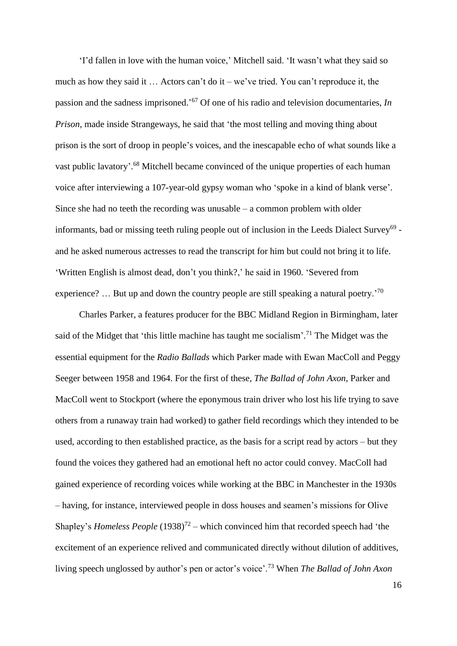'I'd fallen in love with the human voice,' Mitchell said. 'It wasn't what they said so much as how they said it … Actors can't do it – we've tried. You can't reproduce it, the passion and the sadness imprisoned.' <sup>67</sup> Of one of his radio and television documentaries, *In Prison*, made inside Strangeways, he said that 'the most telling and moving thing about prison is the sort of droop in people's voices, and the inescapable echo of what sounds like a vast public lavatory'.<sup>68</sup> Mitchell became convinced of the unique properties of each human voice after interviewing a 107-year-old gypsy woman who 'spoke in a kind of blank verse'. Since she had no teeth the recording was unusable – a common problem with older informants, bad or missing teeth ruling people out of inclusion in the Leeds Dialect Survey<sup>69</sup> and he asked numerous actresses to read the transcript for him but could not bring it to life. 'Written English is almost dead, don't you think?,' he said in 1960. 'Severed from experience? ... But up and down the country people are still speaking a natural poetry.<sup>'70</sup>

Charles Parker, a features producer for the BBC Midland Region in Birmingham, later said of the Midget that 'this little machine has taught me socialism'.<sup>71</sup> The Midget was the essential equipment for the *Radio Ballads* which Parker made with Ewan MacColl and Peggy Seeger between 1958 and 1964. For the first of these, *The Ballad of John Axon*, Parker and MacColl went to Stockport (where the eponymous train driver who lost his life trying to save others from a runaway train had worked) to gather field recordings which they intended to be used, according to then established practice, as the basis for a script read by actors – but they found the voices they gathered had an emotional heft no actor could convey. MacColl had gained experience of recording voices while working at the BBC in Manchester in the 1930s – having, for instance, interviewed people in doss houses and seamen's missions for Olive Shapley's *Homeless People* (1938)<sup>72</sup> – which convinced him that recorded speech had 'the excitement of an experience relived and communicated directly without dilution of additives, living speech unglossed by author's pen or actor's voice'.<sup>73</sup> When *The Ballad of John Axon*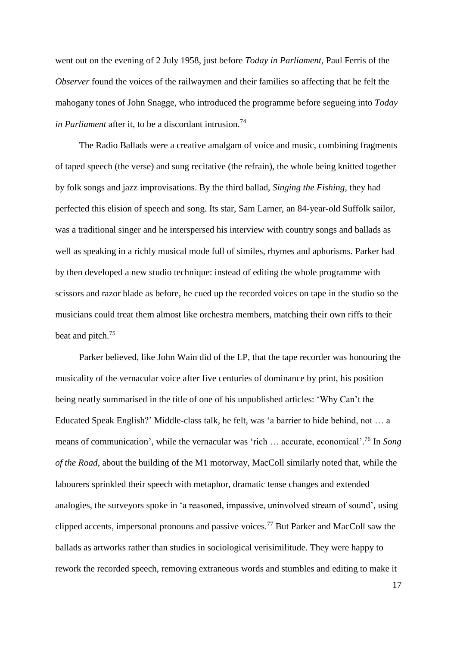went out on the evening of 2 July 1958, just before *Today in Parliament*, Paul Ferris of the *Observer* found the voices of the railwaymen and their families so affecting that he felt the mahogany tones of John Snagge, who introduced the programme before segueing into *Today in Parliament* after it, to be a discordant intrusion. 74

The Radio Ballads were a creative amalgam of voice and music, combining fragments of taped speech (the verse) and sung recitative (the refrain), the whole being knitted together by folk songs and jazz improvisations. By the third ballad, *Singing the Fishing*, they had perfected this elision of speech and song. Its star, Sam Larner, an 84-year-old Suffolk sailor, was a traditional singer and he interspersed his interview with country songs and ballads as well as speaking in a richly musical mode full of similes, rhymes and aphorisms. Parker had by then developed a new studio technique: instead of editing the whole programme with scissors and razor blade as before, he cued up the recorded voices on tape in the studio so the musicians could treat them almost like orchestra members, matching their own riffs to their beat and pitch. 75

Parker believed, like John Wain did of the LP, that the tape recorder was honouring the musicality of the vernacular voice after five centuries of dominance by print, his position being neatly summarised in the title of one of his unpublished articles: 'Why Can't the Educated Speak English?' Middle-class talk, he felt, was 'a barrier to hide behind, not … a means of communication', while the vernacular was 'rich … accurate, economical'. <sup>76</sup> In *Song of the Road*, about the building of the M1 motorway, MacColl similarly noted that, while the labourers sprinkled their speech with metaphor, dramatic tense changes and extended analogies, the surveyors spoke in 'a reasoned, impassive, uninvolved stream of sound', using clipped accents, impersonal pronouns and passive voices.<sup>77</sup> But Parker and MacColl saw the ballads as artworks rather than studies in sociological verisimilitude. They were happy to rework the recorded speech, removing extraneous words and stumbles and editing to make it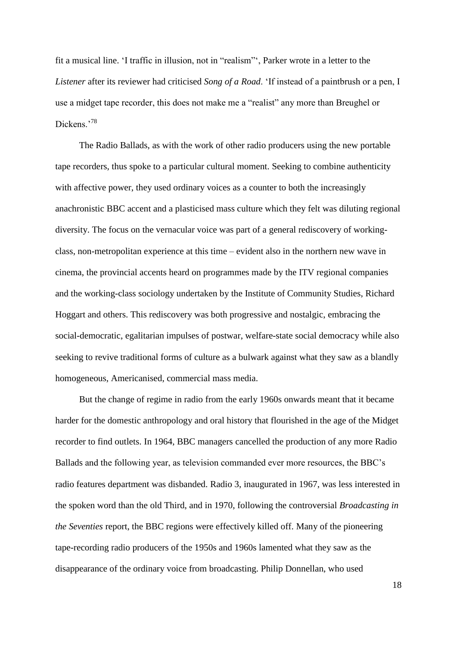fit a musical line. 'I traffic in illusion, not in "realism"', Parker wrote in a letter to the *Listener* after its reviewer had criticised *Song of a Road*. 'If instead of a paintbrush or a pen, I use a midget tape recorder, this does not make me a "realist" any more than Breughel or Dickens<sup>'78</sup>

The Radio Ballads, as with the work of other radio producers using the new portable tape recorders, thus spoke to a particular cultural moment. Seeking to combine authenticity with affective power, they used ordinary voices as a counter to both the increasingly anachronistic BBC accent and a plasticised mass culture which they felt was diluting regional diversity. The focus on the vernacular voice was part of a general rediscovery of workingclass, non-metropolitan experience at this time – evident also in the northern new wave in cinema, the provincial accents heard on programmes made by the ITV regional companies and the working-class sociology undertaken by the Institute of Community Studies, Richard Hoggart and others. This rediscovery was both progressive and nostalgic, embracing the social-democratic, egalitarian impulses of postwar, welfare-state social democracy while also seeking to revive traditional forms of culture as a bulwark against what they saw as a blandly homogeneous, Americanised, commercial mass media.

But the change of regime in radio from the early 1960s onwards meant that it became harder for the domestic anthropology and oral history that flourished in the age of the Midget recorder to find outlets. In 1964, BBC managers cancelled the production of any more Radio Ballads and the following year, as television commanded ever more resources, the BBC's radio features department was disbanded. Radio 3, inaugurated in 1967, was less interested in the spoken word than the old Third, and in 1970, following the controversial *Broadcasting in the Seventies* report, the BBC regions were effectively killed off. Many of the pioneering tape-recording radio producers of the 1950s and 1960s lamented what they saw as the disappearance of the ordinary voice from broadcasting. Philip Donnellan, who used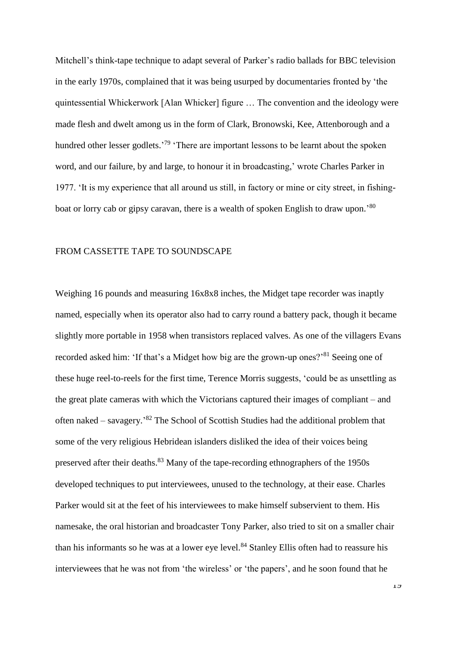Mitchell's think-tape technique to adapt several of Parker's radio ballads for BBC television in the early 1970s, complained that it was being usurped by documentaries fronted by 'the quintessential Whickerwork [Alan Whicker] figure … The convention and the ideology were made flesh and dwelt among us in the form of Clark, Bronowski, Kee, Attenborough and a hundred other lesser godlets.<sup>79</sup> 'There are important lessons to be learnt about the spoken word, and our failure, by and large, to honour it in broadcasting,' wrote Charles Parker in 1977. 'It is my experience that all around us still, in factory or mine or city street, in fishingboat or lorry cab or gipsy caravan, there is a wealth of spoken English to draw upon.<sup>80</sup>

## FROM CASSETTE TAPE TO SOUNDSCAPE

Weighing 16 pounds and measuring 16x8x8 inches, the Midget tape recorder was inaptly named, especially when its operator also had to carry round a battery pack, though it became slightly more portable in 1958 when transistors replaced valves. As one of the villagers Evans recorded asked him: 'If that's a Midget how big are the grown-up ones?'<sup>81</sup> Seeing one of these huge reel-to-reels for the first time, Terence Morris suggests, 'could be as unsettling as the great plate cameras with which the Victorians captured their images of compliant – and often naked – savagery.' <sup>82</sup> The School of Scottish Studies had the additional problem that some of the very religious Hebridean islanders disliked the idea of their voices being preserved after their deaths.<sup>83</sup> Many of the tape-recording ethnographers of the 1950s developed techniques to put interviewees, unused to the technology, at their ease. Charles Parker would sit at the feet of his interviewees to make himself subservient to them. His namesake, the oral historian and broadcaster Tony Parker, also tried to sit on a smaller chair than his informants so he was at a lower eye level.<sup>84</sup> Stanley Ellis often had to reassure his interviewees that he was not from 'the wireless' or 'the papers', and he soon found that he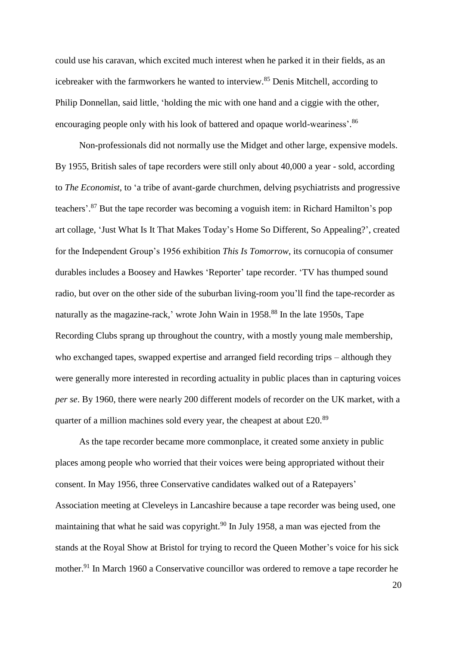could use his caravan, which excited much interest when he parked it in their fields, as an icebreaker with the farmworkers he wanted to interview. <sup>85</sup> Denis Mitchell, according to Philip Donnellan, said little, 'holding the mic with one hand and a ciggie with the other, encouraging people only with his look of battered and opaque world-weariness'.<sup>86</sup>

Non-professionals did not normally use the Midget and other large, expensive models. By 1955, British sales of tape recorders were still only about 40,000 a year - sold, according to *The Economist*, to 'a tribe of avant-garde churchmen, delving psychiatrists and progressive teachers'.<sup>87</sup> But the tape recorder was becoming a voguish item: in Richard Hamilton's pop art collage, 'Just What Is It That Makes Today's Home So Different, So Appealing?', created for the Independent Group's 1956 exhibition *This Is Tomorrow*, its cornucopia of consumer durables includes a [Boosey and](http://en.wikipedia.org/wiki/Boosey_%26_Hawkes) Hawkes ['Reporter'](http://www.sciencemuseum.org.uk/objects/sound_reproduction/1966-149.aspx) tape recorder. 'TV has thumped sound radio, but over on the other side of the suburban living-room you'll find the tape-recorder as naturally as the magazine-rack,' wrote John Wain in 1958.<sup>88</sup> In the late 1950s, Tape Recording Clubs sprang up throughout the country, with a mostly young male membership, who exchanged tapes, swapped expertise and arranged field recording trips – although they were generally more interested in recording actuality in public places than in capturing voices *per se*. By 1960, there were nearly 200 different models of recorder on the UK market, with a quarter of a million machines sold every year, the cheapest at about  $\text{\pounds}20$ .<sup>89</sup>

As the tape recorder became more commonplace, it created some anxiety in public places among people who worried that their voices were being appropriated without their consent. In May 1956, three Conservative candidates walked out of a Ratepayers' Association meeting at Cleveleys in Lancashire because a tape recorder was being used, one maintaining that what he said was copyright.<sup>90</sup> In July 1958, a man was ejected from the stands at the Royal Show at Bristol for trying to record the Queen Mother's voice for his sick mother.<sup>91</sup> In March 1960 a Conservative councillor was ordered to remove a tape recorder he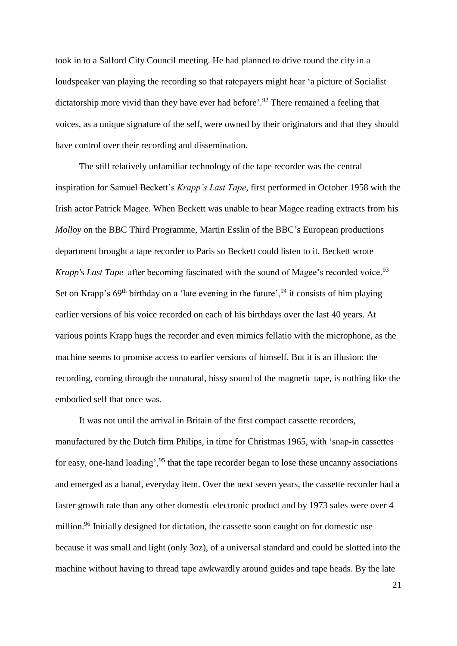took in to a Salford City Council meeting. He had planned to drive round the city in a loudspeaker van playing the recording so that ratepayers might hear 'a picture of Socialist dictatorship more vivid than they have ever had before'.<sup>92</sup> There remained a feeling that voices, as a unique signature of the self, were owned by their originators and that they should have control over their recording and dissemination.

The still relatively unfamiliar technology of the tape recorder was the central inspiration for Samuel Beckett's *Krapp's Last Tape*, first performed in October 1958 with the Irish actor Patrick Magee. When Beckett was unable to hear Magee reading extracts from his *Molloy* on the BBC Third Programme, Martin Esslin of the BBC's European productions department brought a tape recorder to Paris so Beckett could listen to it. Beckett wrote *Krapp's Last Tape* after becoming fascinated with the sound of Magee's recorded voice. 93 Set on Krapp's  $69<sup>th</sup>$  birthday on a 'late evening in the future',  $9<sup>4</sup>$  it consists of him playing earlier versions of his voice recorded on each of his birthdays over the last 40 years. At various points Krapp hugs the recorder and even mimics fellatio with the microphone, as the machine seems to promise access to earlier versions of himself. But it is an illusion: the recording, coming through the unnatural, hissy sound of the magnetic tape, is nothing like the embodied self that once was.

It was not until the arrival in Britain of the first compact cassette recorders, manufactured by the Dutch firm Philips, in time for Christmas 1965, with 'snap-in cassettes for easy, one-hand loading',  $95$  that the tape recorder began to lose these uncanny associations and emerged as a banal, everyday item. Over the next seven years, the cassette recorder had a faster growth rate than any other domestic electronic product and by 1973 sales were over 4 million.<sup>96</sup> Initially designed for dictation, the cassette soon caught on for domestic use because it was small and light (only 3oz), of a universal standard and could be slotted into the machine without having to thread tape awkwardly around guides and tape heads. By the late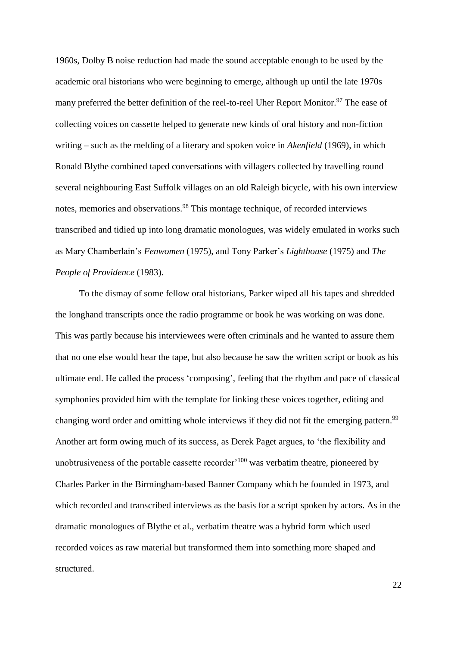1960s, Dolby B noise reduction had made the sound acceptable enough to be used by the academic oral historians who were beginning to emerge, although up until the late 1970s many preferred the better definition of the reel-to-reel Uher Report Monitor.<sup>97</sup> The ease of collecting voices on cassette helped to generate new kinds of oral history and non-fiction writing – such as the melding of a literary and spoken voice in *Akenfield* (1969), in which Ronald Blythe combined taped conversations with villagers collected by travelling round several neighbouring East Suffolk villages on an old Raleigh bicycle, with his own interview notes, memories and observations. <sup>98</sup> This montage technique, of recorded interviews transcribed and tidied up into long dramatic monologues, was widely emulated in works such as Mary Chamberlain's *Fenwomen* (1975), and Tony Parker's *Lighthouse* (1975) and *The People of Providence* (1983).

To the dismay of some fellow oral historians, Parker wiped all his tapes and shredded the longhand transcripts once the radio programme or book he was working on was done. This was partly because his interviewees were often criminals and he wanted to assure them that no one else would hear the tape, but also because he saw the written script or book as his ultimate end. He called the process 'composing', feeling that the rhythm and pace of classical symphonies provided him with the template for linking these voices together, editing and changing word order and omitting whole interviews if they did not fit the emerging pattern.<sup>99</sup> Another art form owing much of its success, as Derek Paget argues, to 'the flexibility and unobtrusiveness of the portable cassette recorder<sup> $100$ </sup> was verbatim theatre, pioneered by Charles Parker in the Birmingham-based Banner Company which he founded in 1973, and which recorded and transcribed interviews as the basis for a script spoken by actors. As in the dramatic monologues of Blythe et al., verbatim theatre was a hybrid form which used recorded voices as raw material but transformed them into something more shaped and structured.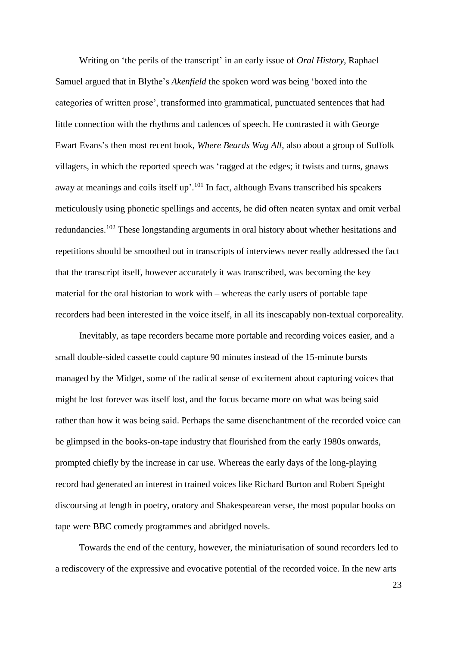Writing on 'the perils of the transcript' in an early issue of *Oral History*, Raphael Samuel argued that in Blythe's *Akenfield* the spoken word was being 'boxed into the categories of written prose', transformed into grammatical, punctuated sentences that had little connection with the rhythms and cadences of speech. He contrasted it with George Ewart Evans's then most recent book, *Where Beards Wag All*, also about a group of Suffolk villagers, in which the reported speech was 'ragged at the edges; it twists and turns, gnaws away at meanings and coils itself up'.<sup>101</sup> In fact, although Evans transcribed his speakers meticulously using phonetic spellings and accents, he did often neaten syntax and omit verbal redundancies.<sup>102</sup> These longstanding arguments in oral history about whether hesitations and repetitions should be smoothed out in transcripts of interviews never really addressed the fact that the transcript itself, however accurately it was transcribed, was becoming the key material for the oral historian to work with – whereas the early users of portable tape recorders had been interested in the voice itself, in all its inescapably non-textual corporeality.

Inevitably, as tape recorders became more portable and recording voices easier, and a small double-sided cassette could capture 90 minutes instead of the 15-minute bursts managed by the Midget, some of the radical sense of excitement about capturing voices that might be lost forever was itself lost, and the focus became more on what was being said rather than how it was being said. Perhaps the same disenchantment of the recorded voice can be glimpsed in the books-on-tape industry that flourished from the early 1980s onwards, prompted chiefly by the increase in car use. Whereas the early days of the long-playing record had generated an interest in trained voices like Richard Burton and Robert Speight discoursing at length in poetry, oratory and Shakespearean verse, the most popular books on tape were BBC comedy programmes and abridged novels.

Towards the end of the century, however, the miniaturisation of sound recorders led to a rediscovery of the expressive and evocative potential of the recorded voice. In the new arts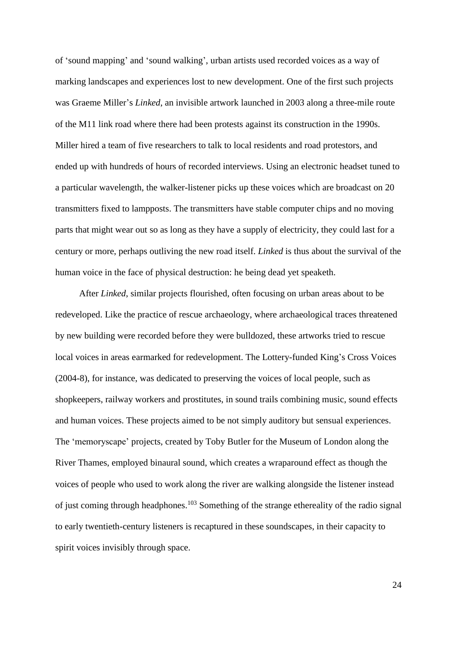of 'sound mapping' and 'sound walking', urban artists used recorded voices as a way of marking landscapes and experiences lost to new development. One of the first such projects was Graeme Miller's *Linked*, an invisible artwork launched in 2003 along a three-mile route of the M11 link road where there had been protests against its construction in the 1990s. Miller hired a team of five researchers to talk to local residents and road protestors, and ended up with hundreds of hours of recorded interviews. Using an electronic headset tuned to a particular wavelength, the walker-listener picks up these voices which are broadcast on 20 transmitters fixed to lampposts. The transmitters have stable computer chips and no moving parts that might wear out so as long as they have a supply of electricity, they could last for a century or more, perhaps outliving the new road itself. *Linked* is thus about the survival of the human voice in the face of physical destruction: he being dead yet speaketh.

After *Linked*, similar projects flourished, often focusing on urban areas about to be redeveloped. Like the practice of rescue archaeology, where archaeological traces threatened by new building were recorded before they were bulldozed, these artworks tried to rescue local voices in areas earmarked for redevelopment. The Lottery-funded King's Cross Voices (2004-8), for instance, was dedicated to preserving the voices of local people, such as shopkeepers, railway workers and prostitutes, in sound trails combining music, sound effects and human voices. These projects aimed to be not simply auditory but sensual experiences. The 'memoryscape' projects, created by Toby Butler for the Museum of London along the River Thames, employed binaural sound, which creates a wraparound effect as though the voices of people who used to work along the river are walking alongside the listener instead of just coming through headphones.<sup>103</sup> Something of the strange ethereality of the radio signal to early twentieth-century listeners is recaptured in these soundscapes, in their capacity to spirit voices invisibly through space.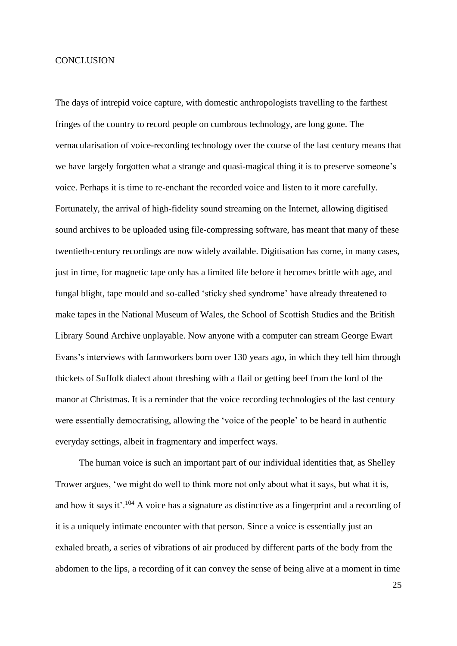### **CONCLUSION**

The days of intrepid voice capture, with domestic anthropologists travelling to the farthest fringes of the country to record people on cumbrous technology, are long gone. The vernacularisation of voice-recording technology over the course of the last century means that we have largely forgotten what a strange and quasi-magical thing it is to preserve someone's voice. Perhaps it is time to re-enchant the recorded voice and listen to it more carefully. Fortunately, the arrival of high-fidelity sound streaming on the Internet, allowing digitised sound archives to be uploaded using file-compressing software, has meant that many of these twentieth-century recordings are now widely available. Digitisation has come, in many cases, just in time, for magnetic tape only has a limited life before it becomes brittle with age, and fungal blight, tape mould and so-called 'sticky shed syndrome' have already threatened to make tapes in the National Museum of Wales, the School of Scottish Studies and the British Library Sound Archive unplayable. Now anyone with a computer can stream George Ewart Evans's interviews with farmworkers born over 130 years ago, in which they tell him through thickets of Suffolk dialect about threshing with a flail or getting beef from the lord of the manor at Christmas. It is a reminder that the voice recording technologies of the last century were essentially democratising, allowing the 'voice of the people' to be heard in authentic everyday settings, albeit in fragmentary and imperfect ways.

The human voice is such an important part of our individual identities that, as Shelley Trower argues, 'we might do well to think more not only about what it says, but what it is, and how it says it'.<sup>104</sup> A voice has a signature as distinctive as a fingerprint and a recording of it is a uniquely intimate encounter with that person. Since a voice is essentially just an exhaled breath, a series of vibrations of air produced by different parts of the body from the abdomen to the lips, a recording of it can convey the sense of being alive at a moment in time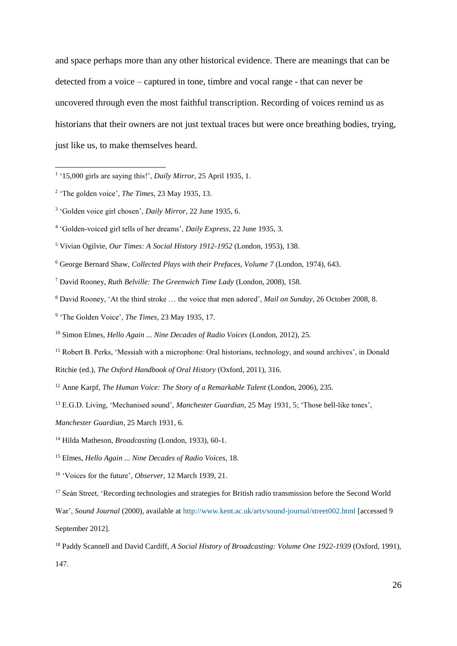and space perhaps more than any other historical evidence. There are meanings that can be detected from a voice – captured in tone, timbre and vocal range - that can never be uncovered through even the most faithful transcription. Recording of voices remind us as historians that their owners are not just textual traces but were once breathing bodies, trying, just like us, to make themselves heard.

- <sup>6</sup> George Bernard Shaw, *Collected Plays with their Prefaces, Volume 7* (London, 1974), 643.
- <sup>7</sup> David Rooney, *Ruth Belville: The Greenwich Time Lady* (London, 2008), 158.
- <sup>8</sup> David Rooney, 'At the third stroke … the voice that men adored', *Mail on Sunday*, 26 October 2008, 8.
- <sup>9</sup> 'The Golden Voice', *The Times*, 23 May 1935, 17.
- <sup>10</sup> Simon Elmes, *Hello Again ... Nine Decades of Radio Voices* (London, 2012), 25.
- <sup>11</sup> Robert B. Perks, 'Messiah with a microphone: Oral historians, technology, and sound archives', in Donald Ritchie (ed.), *The Oxford Handbook of Oral History* (Oxford, 2011), 316.
- <sup>12</sup> Anne Karpf, *The Human Voice: The Story of a Remarkable Talent* (London, 2006), 235.
- <sup>13</sup> E.G.D. Living, 'Mechanised sound', *Manchester Guardian*, 25 May 1931, 5; 'Those bell-like tones',

- <sup>15</sup> Elmes, *Hello Again ... Nine Decades of Radio Voices*, 18.
- <sup>16</sup> 'Voices for the future', *Observer*, 12 March 1939, 21.
- <sup>17</sup> Seán Street, 'Recording technologies and strategies for British radio transmission before the Second World

War', *Sound Journal* (2000), available at<http://www.kent.ac.uk/arts/sound-journal/street002.html> [accessed 9 September 2012].

 1 '15,000 girls are saying this!', *Daily Mirror*, 25 April 1935, 1.

<sup>2</sup> 'The golden voice', *The Times*, 23 May 1935, 13.

<sup>3</sup> 'Golden voice girl chosen', *Daily Mirror*, 22 June 1935, 6.

<sup>4</sup> 'Golden-voiced girl tells of her dreams', *Daily Express*, 22 June 1935, 3.

<sup>5</sup> Vivian Ogilvie, *Our Times: A Social History 1912-1952* (London, 1953), 138.

*Manchester Guardian*, 25 March 1931, 6.

<sup>14</sup> Hilda Matheson, *Broadcasting* (London, 1933), 60-1.

<sup>&</sup>lt;sup>18</sup> Paddy Scannell and David Cardiff, *A Social History of Broadcasting: Volume One 1922-1939* (Oxford, 1991), 147.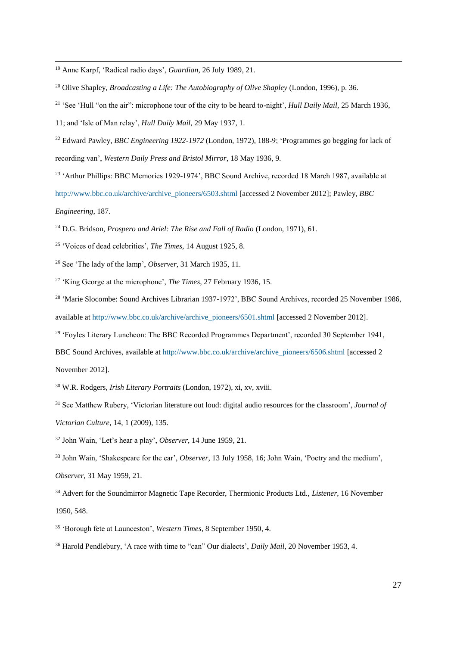<sup>19</sup> Anne Karpf, 'Radical radio days', *Guardian*, 26 July 1989, 21.

1

<sup>20</sup> Olive Shapley, *Broadcasting a Life: The Autobiography of Olive Shapley* (London, 1996), p. 36.

11; and 'Isle of Man relay', *Hull Daily Mail*, 29 May 1937, 1.

<sup>22</sup> Edward Pawley, *BBC Engineering 1922-1972* (London, 1972), 188-9; 'Programmes go begging for lack of recording van', *Western Daily Press and Bristol Mirror*, 18 May 1936, 9.

<sup>23</sup> 'Arthur Phillips: BBC Memories 1929-1974', BBC Sound Archive, recorded 18 March 1987, available at [http://www.bbc.co.uk/archive/archive\\_pioneers/6503.shtml](http://www.bbc.co.uk/archive/archive_pioneers/6503.shtml) [accessed 2 November 2012]; Pawley, *BBC Engineering*, 187.

<sup>24</sup> D.G. Bridson, *Prospero and Ariel: The Rise and Fall of Radio* (London, 1971), 61.

<sup>25</sup> 'Voices of dead celebrities', *The Times*, 14 August 1925, 8.

<sup>26</sup> See 'The lady of the lamp', *Observer*, 31 March 1935, 11.

<sup>27</sup> 'King George at the microphone', *The Times*, 27 February 1936, 15.

- <sup>28</sup> 'Marie Slocombe: Sound Archives Librarian 1937-1972', BBC Sound Archives, recorded 25 November 1986, available at [http://www.bbc.co.uk/archive/archive\\_pioneers/6501.shtml](http://www.bbc.co.uk/archive/archive_pioneers/6501.shtml) [accessed 2 November 2012].
- <sup>29</sup> 'Foyles Literary Luncheon: The BBC Recorded Programmes Department', recorded 30 September 1941,

BBC Sound Archives, available at [http://www.bbc.co.uk/archive/archive\\_pioneers/6506.shtml](http://www.bbc.co.uk/archive/archive_pioneers/6506.shtml) [accessed 2 November 2012].

<sup>30</sup> W.R. Rodgers, *Irish Literary Portraits* (London, 1972), xi, xv, xviii.

<sup>31</sup> See Matthew Rubery, 'Victorian literature out loud: digital audio resources for the classroom', *Journal of Victorian Culture*, 14, 1 (2009), 135.

<sup>32</sup> John Wain, 'Let's hear a play', *Observer*, 14 June 1959, 21.

<sup>33</sup> John Wain, 'Shakespeare for the ear', *Observer*, 13 July 1958, 16; John Wain, 'Poetry and the medium', *Observer*, 31 May 1959, 21.

<sup>34</sup> Advert for the Soundmirror Magnetic Tape Recorder, Thermionic Products Ltd., *Listener*, 16 November 1950, 548.

<sup>35</sup> 'Borough fete at Launceston', *Western Times*, 8 September 1950, 4.

<sup>36</sup> Harold Pendlebury, 'A race with time to "can" Our dialects', *Daily Mail*, 20 November 1953, 4.

<sup>&</sup>lt;sup>21</sup> 'See 'Hull "on the air": microphone tour of the city to be heard to-night', *Hull Daily Mail*, 25 March 1936,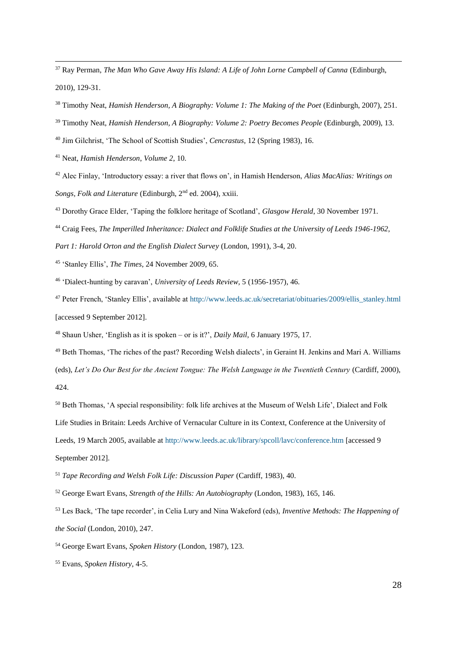<sup>37</sup> Ray Perman, *The Man Who Gave Away His Island: A Life of John Lorne Campbell of Canna* (Edinburgh, 2010), 129-31.

<sup>38</sup> Timothy Neat, *Hamish Henderson, A Biography: Volume 1: The Making of the Poet* (Edinburgh, 2007), 251.

Timothy Neat, *Hamish Henderson, A Biography: Volume 2: Poetry Becomes People* (Edinburgh, 2009), 13.

Jim Gilchrist, 'The School of Scottish Studies', *Cencrastus*, 12 (Spring 1983), 16.

Neat, *Hamish Henderson*, *Volume 2*, 10.

 Alec Finlay, 'Introductory essay: a river that flows on', in Hamish Henderson, *Alias MacAlias: Writings on Songs, Folk and Literature* (Edinburgh, 2nd ed. 2004), xxiii.

Dorothy Grace Elder, 'Taping the folklore heritage of Scotland', *Glasgow Herald*, 30 November 1971.

Craig Fees, *The Imperilled Inheritance: Dialect and Folklife Studies at the University of Leeds 1946-1962,* 

*Part 1: Harold Orton and the English Dialect Survey* (London, 1991), 3-4, 20.

'Stanley Ellis', *The Times*, 24 November 2009, 65.

'Dialect-hunting by caravan', *University of Leeds Review,* 5 (1956-1957), 46.

 Peter French, 'Stanley Ellis', available at [http://www.leeds.ac.uk/secretariat/obituaries/2009/ellis\\_stanley.html](http://www.leeds.ac.uk/secretariat/obituaries/2009/ellis_stanley.html) [accessed 9 September 2012].

Shaun Usher, 'English as it is spoken – or is it?', *Daily Mail*, 6 January 1975, 17.

 Beth Thomas, 'The riches of the past? Recording Welsh dialects', in Geraint H. Jenkins and Mari A. Williams (eds), *Let's Do Our Best for the Ancient Tongue: The Welsh Language in the Twentieth Century* (Cardiff, 2000), 424.

 Beth Thomas, 'A special responsibility: folk life archives at the Museum of Welsh Life', Dialect and Folk Life Studies in Britain: Leeds Archive of Vernacular Culture in its Context, Conference at the University of Leeds, 19 March 2005, available at<http://www.leeds.ac.uk/library/spcoll/lavc/conference.htm> [accessed 9 September 2012].

*Tape Recording and Welsh Folk Life: Discussion Paper* (Cardiff, 1983), 40.

George Ewart Evans, *Strength of the Hills: An Autobiography* (London, 1983), 165, 146.

 Les Back, 'The tape recorder', in Celia Lury and Nina Wakeford (eds), *Inventive Methods: The Happening of the Social* (London, 2010), 247.

George Ewart Evans, *Spoken History* (London, 1987), 123.

Evans, *Spoken History*, 4-5.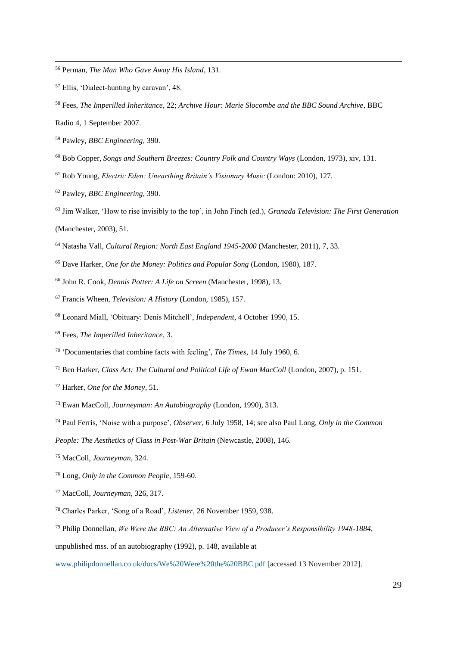- Ellis, 'Dialect-hunting by caravan', 48.
- Fees, *The Imperilled Inheritance*, 22; *Archive Hour: Marie Slocombe and the BBC Sound Archive*, BBC Radio 4, 1 September 2007.
- Pawley, *BBC Engineering*, 390.

- Bob Copper, *Songs and Southern Breezes: Country Folk and Country Ways* (London, 1973), xiv, 131.
- Rob Young, *Electric Eden: Unearthing Britain's Visionary Music* (London: 2010), 127.
- Pawley, *BBC Engineering*, 390.
- Jim Walker, 'How to rise invisibly to the top', in John Finch (ed.), *Granada Television: The First Generation* (Manchester, 2003), 51.
- Natasha Vall, *Cultural Region: North East England 1945-2000* (Manchester, 2011), 7, 33.
- Dave Harker, *One for the Money: Politics and Popular Song* (London, 1980), 187.
- John R. Cook, *Dennis Potter: A Life on Screen* (Manchester, 1998), 13.
- Francis Wheen, *Television: A History* (London, 1985), 157.
- Leonard Miall, 'Obituary: Denis Mitchell', *Independent*, 4 October 1990, 15.
- Fees, *The Imperilled Inheritance*, 3.
- 'Documentaries that combine facts with feeling', *The Times*, 14 July 1960, 6.
- Ben Harker, *Class Act: The Cultural and Political Life of Ewan MacColl* (London, 2007), p. 151.
- Harker, *One for the Money*, 51.
- Ewan MacColl, *Journeyman: An Autobiography* (London, 1990), 313.
- Paul Ferris, 'Noise with a purpose', *Observer*, 6 July 1958, 14; see also Paul Long, *Only in the Common*
- *People: The Aesthetics of Class in Post-War Britain* (Newcastle, 2008), 146.
- MacColl, *Journeyman*, 324.
- Long, *Only in the Common People*, 159-60.
- MacColl, *Journeyman*, 326, 317.
- Charles Parker, 'Song of a Road', *Listener*, 26 November 1959, 938.

Philip Donnellan, *We Were the BBC: An Alternative View of a Producer's Responsibility 1948-1884*,

unpublished mss. of an autobiography (1992), p. 148, available at

[www.philipdonnellan.co.uk/docs/We%20Were%20the%20BBC.pdf](http://www.philipdonnellan.co.uk/docs/We%20Were%20the%20BBC.pdf) [accessed 13 November 2012].

Perman, *The Man Who Gave Away His Island*, 131.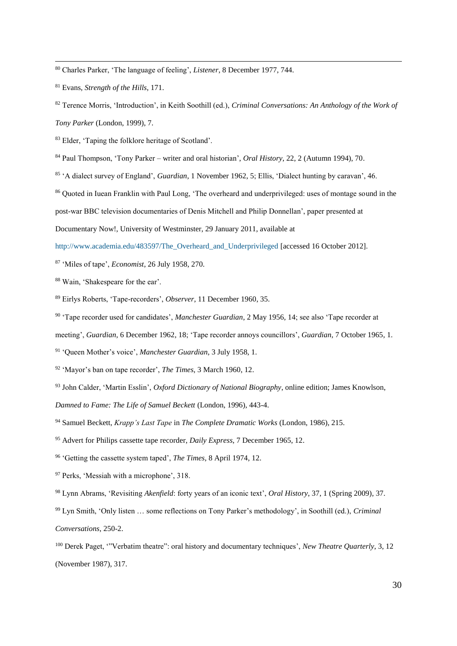Charles Parker, 'The language of feeling', *Listener*, 8 December 1977, 744.

Evans, *Strength of the Hills*, 171.

 Terence Morris, 'Introduction', in Keith Soothill (ed.), *Criminal Conversations: An Anthology of the Work of Tony Parker* (London, 1999), 7.

Elder, 'Taping the folklore heritage of Scotland'.

Paul Thompson, 'Tony Parker – writer and oral historian', *Oral History*, 22, 2 (Autumn 1994), 70.

'A dialect survey of England', *Guardian*, 1 November 1962, 5; Ellis, 'Dialect hunting by caravan', 46.

<sup>86</sup> Quoted in Iuean Franklin with Paul Long, 'The overheard and underprivileged: uses of montage sound in the

post-war BBC television documentaries of Denis Mitchell and Philip Donnellan', paper presented at

Documentary Now!, University of Westminster, 29 January 2011, available at

[http://www.academia.edu/483597/The\\_Overheard\\_and\\_Underprivileged](http://www.academia.edu/483597/The_Overheard_and_Underprivileged) [accessed 16 October 2012].

'Miles of tape', *Economist*, 26 July 1958, 270.

Wain, 'Shakespeare for the ear'.

Eirlys Roberts, 'Tape-recorders', *Observer*, 11 December 1960, 35.

'Tape recorder used for candidates', *Manchester Guardian*, 2 May 1956, 14; see also 'Tape recorder at

meeting', *Guardian*, 6 December 1962, 18; 'Tape recorder annoys councillors', *Guardian*, 7 October 1965, 1.

'Queen Mother's voice', *Manchester Guardian*, 3 July 1958, 1.

'Mayor's ban on tape recorder', *The Times*, 3 March 1960, 12.

John Calder, 'Martin Esslin', *Oxford Dictionary of National Biography*, online edition; James Knowlson,

*Damned to Fame: The Life of Samuel Beckett* (London, 1996), 443-4.

Samuel Beckett, *Krapp's Last Tape* in *The Complete Dramatic Works* (London, 1986), 215.

Advert for Philips cassette tape recorder, *Daily Express*, 7 December 1965, 12.

'Getting the cassette system taped', *The Times*, 8 April 1974, 12.

Perks, 'Messiah with a microphone', 318.

Lynn Abrams, 'Revisiting *Akenfield*: forty years of an iconic text', *Oral History*, 37, 1 (Spring 2009), 37.

 Lyn Smith, 'Only listen … some reflections on Tony Parker's methodology', in Soothill (ed.), *Criminal Conversations*, 250-2.

 Derek Paget, '"Verbatim theatre": oral history and documentary techniques', *New Theatre Quarterly*, 3, 12 (November 1987), 317.